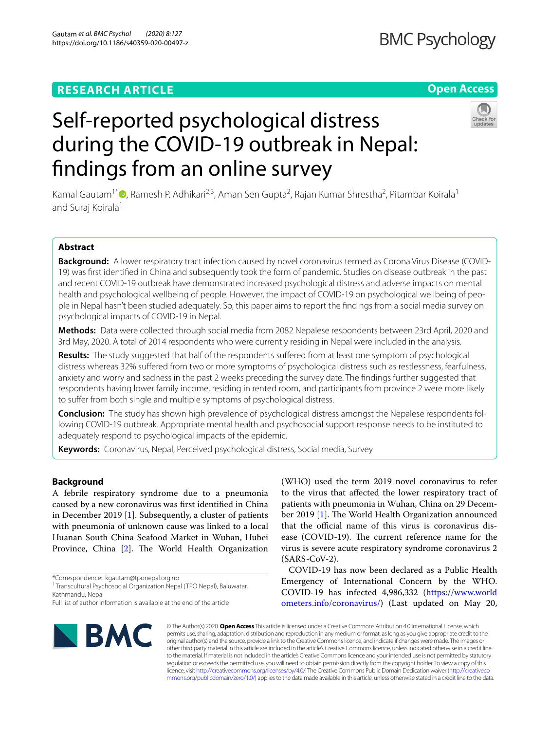# **RESEARCH ARTICLE**

# **Open Access**



# Self-reported psychological distress during the COVID-19 outbreak in Nepal: fndings from an online survey

Kamal Gautam<sup>1\*</sup> (**D**[,](http://orcid.org/0000-0001-9401-9359) Ramesh P. Adhikari<sup>2,3</sup>, Aman Sen Gupta<sup>2</sup>, Rajan Kumar Shrestha<sup>2</sup>, Pitambar Koirala<sup>1</sup> and Suraj Koirala<sup>1</sup>

# **Abstract**

**Background:** A lower respiratory tract infection caused by novel coronavirus termed as Corona Virus Disease (COVID-19) was frst identifed in China and subsequently took the form of pandemic. Studies on disease outbreak in the past and recent COVID-19 outbreak have demonstrated increased psychological distress and adverse impacts on mental health and psychological wellbeing of people. However, the impact of COVID-19 on psychological wellbeing of people in Nepal hasn't been studied adequately. So, this paper aims to report the fndings from a social media survey on psychological impacts of COVID-19 in Nepal.

**Methods:** Data were collected through social media from 2082 Nepalese respondents between 23rd April, 2020 and 3rd May, 2020. A total of 2014 respondents who were currently residing in Nepal were included in the analysis.

**Results:** The study suggested that half of the respondents sufered from at least one symptom of psychological distress whereas 32% sufered from two or more symptoms of psychological distress such as restlessness, fearfulness, anxiety and worry and sadness in the past 2 weeks preceding the survey date. The fndings further suggested that respondents having lower family income, residing in rented room, and participants from province 2 were more likely to sufer from both single and multiple symptoms of psychological distress.

**Conclusion:** The study has shown high prevalence of psychological distress amongst the Nepalese respondents following COVID-19 outbreak. Appropriate mental health and psychosocial support response needs to be instituted to adequately respond to psychological impacts of the epidemic.

**Keywords:** Coronavirus, Nepal, Perceived psychological distress, Social media, Survey

# **Background**

A febrile respiratory syndrome due to a pneumonia caused by a new coronavirus was frst identifed in China in December 2019 [[1\]](#page-9-0). Subsequently, a cluster of patients with pneumonia of unknown cause was linked to a local Huanan South China Seafood Market in Wuhan, Hubei Province, China [\[2](#page-9-1)]. The World Health Organization

Full list of author information is available at the end of the article



(WHO) used the term 2019 novel coronavirus to refer to the virus that afected the lower respiratory tract of patients with pneumonia in Wuhan, China on 29 Decem-ber 2019 [\[1](#page-9-0)]. The World Health Organization announced that the official name of this virus is coronavirus disease (COVID-19). The current reference name for the virus is severe acute respiratory syndrome coronavirus 2 (SARS-CoV-2).

COVID-19 has now been declared as a Public Health Emergency of International Concern by the WHO. COVID-19 has infected 4,986,332 ([https://www.world](https://www.worldometers.info/coronavirus/) [ometers.info/coronavirus/](https://www.worldometers.info/coronavirus/)) (Last updated on May 20,

© The Author(s) 2020. **Open Access** This article is licensed under a Creative Commons Attribution 4.0 International License, which permits use, sharing, adaptation, distribution and reproduction in any medium or format, as long as you give appropriate credit to the original author(s) and the source, provide a link to the Creative Commons licence, and indicate if changes were made. The images or other third party material in this article are included in the article's Creative Commons licence, unless indicated otherwise in a credit line to the material. If material is not included in the article's Creative Commons licence and your intended use is not permitted by statutory regulation or exceeds the permitted use, you will need to obtain permission directly from the copyright holder. To view a copy of this licence, visit [http://creativecommons.org/licenses/by/4.0/.](http://creativecommons.org/licenses/by/4.0/) The Creative Commons Public Domain Dedication waiver ([http://creativeco](http://creativecommons.org/publicdomain/zero/1.0/) [mmons.org/publicdomain/zero/1.0/](http://creativecommons.org/publicdomain/zero/1.0/)) applies to the data made available in this article, unless otherwise stated in a credit line to the data.

<sup>\*</sup>Correspondence: kgautam@tponepal.org.np

<sup>&</sup>lt;sup>1</sup> Transcultural Psychosocial Organization Nepal (TPO Nepal), Baluwatar, Kathmandu, Nepal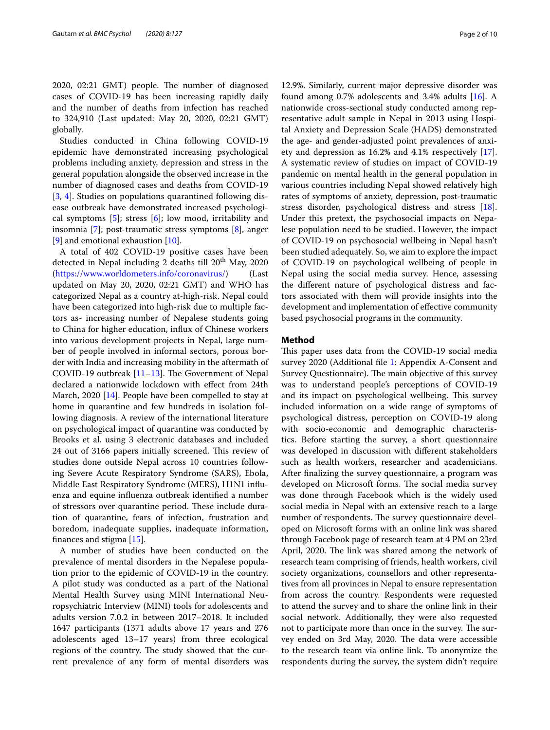2020, 02:21 GMT) people. The number of diagnosed cases of COVID-19 has been increasing rapidly daily and the number of deaths from infection has reached to 324,910 (Last updated: May 20, 2020, 02:21 GMT) globally.

Studies conducted in China following COVID-19 epidemic have demonstrated increasing psychological problems including anxiety, depression and stress in the general population alongside the observed increase in the number of diagnosed cases and deaths from COVID-19 [[3,](#page-9-2) [4\]](#page-9-3). Studies on populations quarantined following disease outbreak have demonstrated increased psychological symptoms  $[5]$  $[5]$ ; stress  $[6]$  $[6]$ ; low mood, irritability and insomnia [\[7](#page-9-6)]; post-traumatic stress symptoms [\[8\]](#page-9-7), anger [[9\]](#page-9-8) and emotional exhaustion [[10](#page-9-9)].

A total of 402 COVID-19 positive cases have been detected in Nepal including 2 deaths till 20<sup>th</sup> May, 2020 (<https://www.worldometers.info/coronavirus/>) (Last updated on May 20, 2020, 02:21 GMT) and WHO has categorized Nepal as a country at-high-risk. Nepal could have been categorized into high-risk due to multiple factors as- increasing number of Nepalese students going to China for higher education, infux of Chinese workers into various development projects in Nepal, large number of people involved in informal sectors, porous border with India and increasing mobility in the aftermath of COVID-19 outbreak  $[11-13]$  $[11-13]$  $[11-13]$ . The Government of Nepal declared a nationwide lockdown with efect from 24th March, 2020 [[14\]](#page-9-12). People have been compelled to stay at home in quarantine and few hundreds in isolation following diagnosis. A review of the international literature on psychological impact of quarantine was conducted by Brooks et al. using 3 electronic databases and included 24 out of 3166 papers initially screened. This review of studies done outside Nepal across 10 countries following Severe Acute Respiratory Syndrome (SARS), Ebola, Middle East Respiratory Syndrome (MERS), H1N1 infuenza and equine infuenza outbreak identifed a number of stressors over quarantine period. These include duration of quarantine, fears of infection, frustration and boredom, inadequate supplies, inadequate information, finances and stigma  $[15]$  $[15]$  $[15]$ .

A number of studies have been conducted on the prevalence of mental disorders in the Nepalese population prior to the epidemic of COVID-19 in the country. A pilot study was conducted as a part of the National Mental Health Survey using MINI International Neuropsychiatric Interview (MINI) tools for adolescents and adults version 7.0.2 in between 2017–2018. It included 1647 participants (1371 adults above 17 years and 276 adolescents aged 13–17 years) from three ecological regions of the country. The study showed that the current prevalence of any form of mental disorders was

12.9%. Similarly, current major depressive disorder was found among 0.7% adolescents and 3.4% adults [\[16](#page-9-14)]. A nationwide cross-sectional study conducted among representative adult sample in Nepal in 2013 using Hospital Anxiety and Depression Scale (HADS) demonstrated the age- and gender-adjusted point prevalences of anxiety and depression as 16.2% and 4.1% respectively [\[17](#page-9-15)]. A systematic review of studies on impact of COVID-19 pandemic on mental health in the general population in various countries including Nepal showed relatively high rates of symptoms of anxiety, depression, post-traumatic stress disorder, psychological distress and stress [\[18](#page-9-16)]. Under this pretext, the psychosocial impacts on Nepalese population need to be studied. However, the impact of COVID-19 on psychosocial wellbeing in Nepal hasn't been studied adequately. So, we aim to explore the impact of COVID-19 on psychological wellbeing of people in Nepal using the social media survey. Hence, assessing the diferent nature of psychological distress and factors associated with them will provide insights into the development and implementation of efective community based psychosocial programs in the community.

#### **Method**

This paper uses data from the COVID-19 social media survey 2020 (Additional fle [1](#page-8-0): Appendix A-Consent and Survey Questionnaire). The main objective of this survey was to understand people's perceptions of COVID-19 and its impact on psychological wellbeing. This survey included information on a wide range of symptoms of psychological distress, perception on COVID-19 along with socio-economic and demographic characteristics. Before starting the survey, a short questionnaire was developed in discussion with diferent stakeholders such as health workers, researcher and academicians. After fnalizing the survey questionnaire, a program was developed on Microsoft forms. The social media survey was done through Facebook which is the widely used social media in Nepal with an extensive reach to a large number of respondents. The survey questionnaire developed on Microsoft forms with an online link was shared through Facebook page of research team at 4 PM on 23rd April, 2020. The link was shared among the network of research team comprising of friends, health workers, civil society organizations, counsellors and other representatives from all provinces in Nepal to ensure representation from across the country. Respondents were requested to attend the survey and to share the online link in their social network. Additionally, they were also requested not to participate more than once in the survey. The survey ended on 3rd May, 2020. The data were accessible to the research team via online link. To anonymize the respondents during the survey, the system didn't require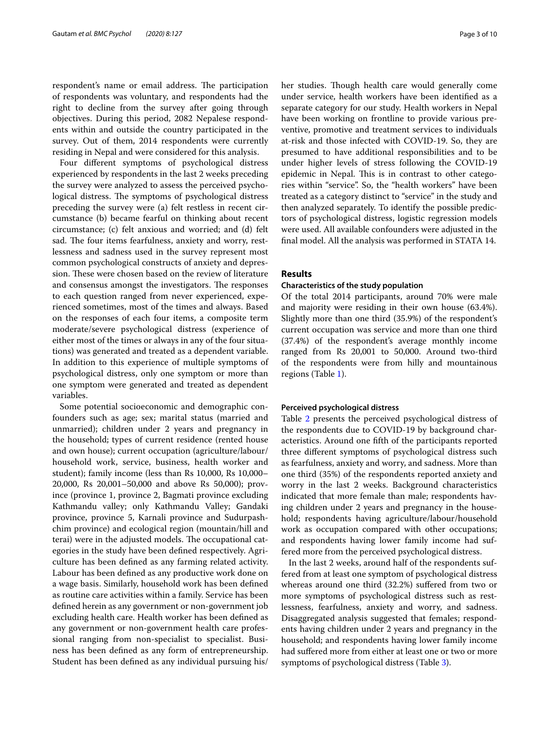respondent's name or email address. The participation of respondents was voluntary, and respondents had the right to decline from the survey after going through objectives. During this period, 2082 Nepalese respondents within and outside the country participated in the survey. Out of them, 2014 respondents were currently residing in Nepal and were considered for this analysis.

Four diferent symptoms of psychological distress experienced by respondents in the last 2 weeks preceding the survey were analyzed to assess the perceived psychological distress. The symptoms of psychological distress preceding the survey were (a) felt restless in recent circumstance (b) became fearful on thinking about recent circumstance; (c) felt anxious and worried; and (d) felt sad. The four items fearfulness, anxiety and worry, restlessness and sadness used in the survey represent most common psychological constructs of anxiety and depression. These were chosen based on the review of literature and consensus amongst the investigators. The responses to each question ranged from never experienced, experienced sometimes, most of the times and always. Based on the responses of each four items, a composite term moderate/severe psychological distress (experience of either most of the times or always in any of the four situations) was generated and treated as a dependent variable. In addition to this experience of multiple symptoms of psychological distress, only one symptom or more than one symptom were generated and treated as dependent variables.

Some potential socioeconomic and demographic confounders such as age; sex; marital status (married and unmarried); children under 2 years and pregnancy in the household; types of current residence (rented house and own house); current occupation (agriculture/labour/ household work, service, business, health worker and student); family income (less than Rs 10,000, Rs 10,000– 20,000, Rs 20,001–50,000 and above Rs 50,000); province (province 1, province 2, Bagmati province excluding Kathmandu valley; only Kathmandu Valley; Gandaki province, province 5, Karnali province and Sudurpashchim province) and ecological region (mountain/hill and terai) were in the adjusted models. The occupational categories in the study have been defned respectively. Agriculture has been defned as any farming related activity. Labour has been defned as any productive work done on a wage basis. Similarly, household work has been defned as routine care activities within a family. Service has been defned herein as any government or non-government job excluding health care. Health worker has been defned as any government or non-government health care professional ranging from non-specialist to specialist. Business has been defned as any form of entrepreneurship. Student has been defned as any individual pursuing his/

her studies. Though health care would generally come under service, health workers have been identifed as a separate category for our study. Health workers in Nepal have been working on frontline to provide various preventive, promotive and treatment services to individuals at-risk and those infected with COVID-19. So, they are presumed to have additional responsibilities and to be under higher levels of stress following the COVID-19 epidemic in Nepal. This is in contrast to other categories within "service". So, the "health workers" have been treated as a category distinct to "service" in the study and then analyzed separately. To identify the possible predictors of psychological distress, logistic regression models were used. All available confounders were adjusted in the fnal model. All the analysis was performed in STATA 14.

#### **Results**

#### **Characteristics of the study population**

Of the total 2014 participants, around 70% were male and majority were residing in their own house (63.4%). Slightly more than one third (35.9%) of the respondent's current occupation was service and more than one third (37.4%) of the respondent's average monthly income ranged from Rs 20,001 to 50,000. Around two-third of the respondents were from hilly and mountainous regions (Table [1\)](#page-3-0).

#### **Perceived psychological distress**

Table [2](#page-4-0) presents the perceived psychological distress of the respondents due to COVID-19 by background characteristics. Around one ffth of the participants reported three diferent symptoms of psychological distress such as fearfulness, anxiety and worry, and sadness. More than one third (35%) of the respondents reported anxiety and worry in the last 2 weeks. Background characteristics indicated that more female than male; respondents having children under 2 years and pregnancy in the household; respondents having agriculture/labour/household work as occupation compared with other occupations; and respondents having lower family income had suffered more from the perceived psychological distress.

In the last 2 weeks, around half of the respondents suffered from at least one symptom of psychological distress whereas around one third (32.2%) sufered from two or more symptoms of psychological distress such as restlessness, fearfulness, anxiety and worry, and sadness. Disaggregated analysis suggested that females; respondents having children under 2 years and pregnancy in the household; and respondents having lower family income had suffered more from either at least one or two or more symptoms of psychological distress (Table [3](#page-5-0)).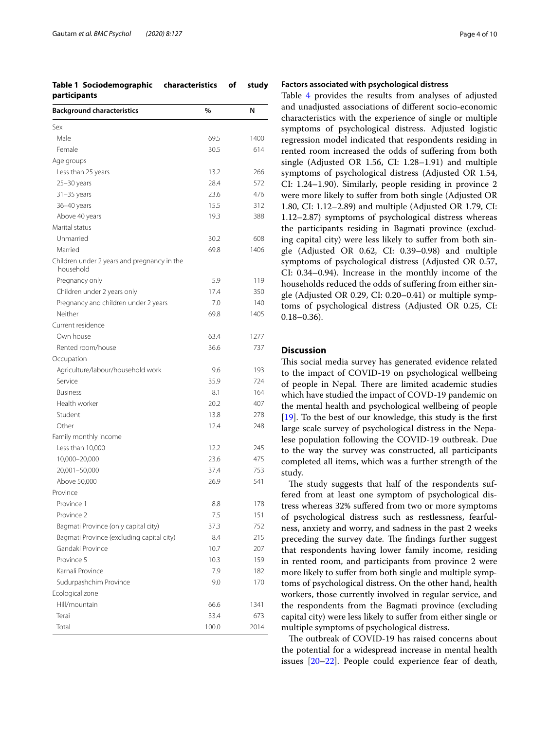<span id="page-3-0"></span>**Table 1 Sociodemographic characteristics of study participants**

| <b>Background characteristics</b>                        | %     | N    |
|----------------------------------------------------------|-------|------|
| Sex                                                      |       |      |
| Male                                                     | 69.5  | 1400 |
| Female                                                   | 30.5  | 614  |
| Age groups                                               |       |      |
| Less than 25 years                                       | 13.2  | 266  |
| $25 - 30$ years                                          | 28.4  | 572  |
| $31 - 35$ years                                          | 23.6  | 476  |
| 36-40 years                                              | 15.5  | 312  |
| Above 40 years                                           | 19.3  | 388  |
| Marital status                                           |       |      |
| Unmarried                                                | 30.2  | 608  |
| Married                                                  | 69.8  | 1406 |
| Children under 2 years and pregnancy in the<br>household |       |      |
| Pregnancy only                                           | 5.9   | 119  |
| Children under 2 years only                              | 17.4  | 350  |
| Pregnancy and children under 2 years                     | 7.0   | 140  |
| Neither                                                  | 69.8  | 1405 |
| Current residence                                        |       |      |
| Own house                                                | 63.4  | 1277 |
| Rented room/house                                        | 36.6  | 737  |
| Occupation                                               |       |      |
| Agriculture/labour/household work                        | 9.6   | 193  |
| Service                                                  | 35.9  | 724  |
| <b>Business</b>                                          | 8.1   | 164  |
| Health worker                                            | 20.2  | 407  |
| Student                                                  | 13.8  | 278  |
| Other                                                    | 12.4  | 248  |
| Family monthly income                                    |       |      |
| Less than 10,000                                         | 12.2  | 245  |
| 10,000-20,000                                            | 23.6  | 475  |
| 20,001-50,000                                            | 37.4  | 753  |
| Above 50,000                                             | 26.9  | 541  |
| Province                                                 |       |      |
| Province 1                                               | 8.8   | 178  |
| Province 2                                               | 7.5   | 151  |
| Bagmati Province (only capital city)                     | 37.3  | 752  |
| Bagmati Province (excluding capital city)                | 8.4   | 215  |
| Gandaki Province                                         | 10.7  | 207  |
| Province 5                                               | 10.3  | 159  |
| Karnali Province                                         | 7.9   | 182  |
| Sudurpashchim Province                                   | 9.0   | 170  |
| Ecological zone                                          |       |      |
| Hill/mountain                                            | 66.6  | 1341 |
| Terai                                                    | 33.4  | 673  |
| Total                                                    | 100.0 | 2014 |

#### **Factors associated with psychological distress**

Table [4](#page-6-0) provides the results from analyses of adjusted and unadjusted associations of diferent socio-economic characteristics with the experience of single or multiple symptoms of psychological distress. Adjusted logistic regression model indicated that respondents residing in rented room increased the odds of sufering from both single (Adjusted OR 1.56, CI: 1.28–1.91) and multiple symptoms of psychological distress (Adjusted OR 1.54, CI: 1.24–1.90). Similarly, people residing in province 2 were more likely to sufer from both single (Adjusted OR 1.80, CI: 1.12–2.89) and multiple (Adjusted OR 1.79, CI: 1.12–2.87) symptoms of psychological distress whereas the participants residing in Bagmati province (excluding capital city) were less likely to sufer from both single (Adjusted OR 0.62, CI: 0.39–0.98) and multiple symptoms of psychological distress (Adjusted OR 0.57, CI: 0.34–0.94). Increase in the monthly income of the households reduced the odds of sufering from either single (Adjusted OR 0.29, CI: 0.20–0.41) or multiple symptoms of psychological distress (Adjusted OR 0.25, CI: 0.18–0.36).

#### **Discussion**

This social media survey has generated evidence related to the impact of COVID-19 on psychological wellbeing of people in Nepal. There are limited academic studies which have studied the impact of COVD-19 pandemic on the mental health and psychological wellbeing of people [[19\]](#page-9-17). To the best of our knowledge, this study is the first large scale survey of psychological distress in the Nepalese population following the COVID-19 outbreak. Due to the way the survey was constructed, all participants completed all items, which was a further strength of the study.

The study suggests that half of the respondents suffered from at least one symptom of psychological distress whereas 32% sufered from two or more symptoms of psychological distress such as restlessness, fearfulness, anxiety and worry, and sadness in the past 2 weeks preceding the survey date. The findings further suggest that respondents having lower family income, residing in rented room, and participants from province 2 were more likely to sufer from both single and multiple symptoms of psychological distress. On the other hand, health workers, those currently involved in regular service, and the respondents from the Bagmati province (excluding capital city) were less likely to sufer from either single or multiple symptoms of psychological distress.

The outbreak of COVID-19 has raised concerns about the potential for a widespread increase in mental health issues [[20](#page-9-18)[–22](#page-9-19)]. People could experience fear of death,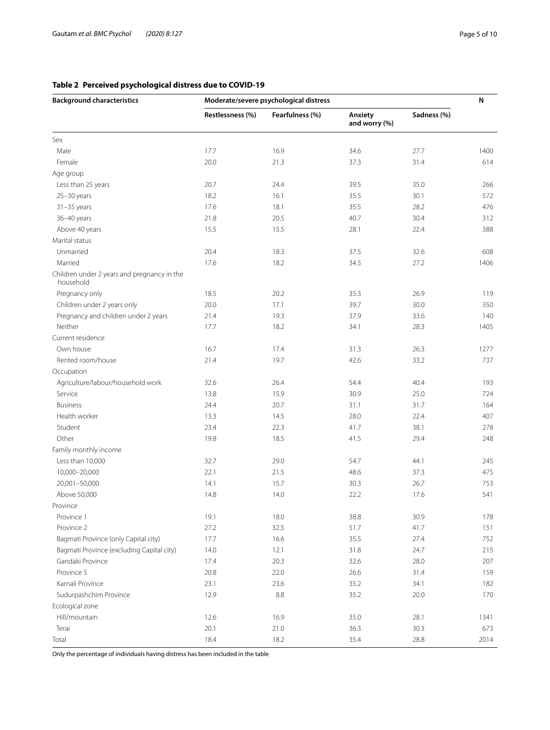# <span id="page-4-0"></span>**Table 2 Perceived psychological distress due to COVID-19**

| <b>Background characteristics</b>                        | Moderate/severe psychological distress |                 |                          |             | N    |
|----------------------------------------------------------|----------------------------------------|-----------------|--------------------------|-------------|------|
|                                                          | Restlessness (%)                       | Fearfulness (%) | Anxiety<br>and worry (%) | Sadness (%) |      |
| Sex                                                      |                                        |                 |                          |             |      |
| Male                                                     | 17.7                                   | 16.9            | 34.6                     | 27.7        | 1400 |
| Female                                                   | 20.0                                   | 21.3            | 37.3                     | 31.4        | 614  |
| Age group                                                |                                        |                 |                          |             |      |
| Less than 25 years                                       | 20.7                                   | 24.4            | 39.5                     | 35.0        | 266  |
| 25-30 years                                              | 18.2                                   | 16.1            | 35.5                     | 30.1        | 572  |
| $31 - 35$ years                                          | 17.6                                   | 18.1            | 35.5                     | 28.2        | 476  |
| 36-40 years                                              | 21.8                                   | 20.5            | 40.7                     | 30.4        | 312  |
| Above 40 years                                           | 15.5                                   | 15.5            | 28.1                     | 22.4        | 388  |
| Marital status                                           |                                        |                 |                          |             |      |
| Unmarried                                                | 20.4                                   | 18.3            | 37.5                     | 32.6        | 608  |
| Married                                                  | 17.6                                   | 18.2            | 34.5                     | 27.2        | 1406 |
| Children under 2 years and pregnancy in the<br>household |                                        |                 |                          |             |      |
| Pregnancy only                                           | 18.5                                   | 20.2            | 35.3                     | 26.9        | 119  |
| Children under 2 years only                              | 20.0                                   | 17.1            | 39.7                     | 30.0        | 350  |
| Pregnancy and children under 2 years                     | 21.4                                   | 19.3            | 37.9                     | 33.6        | 140  |
| Neither                                                  | 17.7                                   | 18.2            | 34.1                     | 28.3        | 1405 |
| Current residence                                        |                                        |                 |                          |             |      |
| Own house                                                | 16.7                                   | 17.4            | 31.3                     | 26.3        | 1277 |
| Rented room/house                                        | 21.4                                   | 19.7            | 42.6                     | 33.2        | 737  |
| Occupation                                               |                                        |                 |                          |             |      |
| Agriculture/labour/household work                        | 32.6                                   | 26.4            | 54.4                     | 40.4        | 193  |
| Service                                                  | 13.8                                   | 15.9            | 30.9                     | 25.0        | 724  |
| <b>Business</b>                                          | 24.4                                   | 20.7            | 31.1                     | 31.7        | 164  |
| Health worker                                            | 13.3                                   | 14.5            | 28.0                     | 22.4        | 407  |
| Student                                                  | 23.4                                   | 22.3            | 41.7                     | 38.1        | 278  |
| Other                                                    | 19.8                                   | 18.5            | 41.5                     | 29.4        | 248  |
| Family monthly income                                    |                                        |                 |                          |             |      |
| Less than 10,000                                         | 32.7                                   | 29.0            | 54.7                     | 44.1        | 245  |
| 10,000-20,000                                            | 22.1                                   | 21.5            | 48.6                     | 37.3        | 475  |
| 20,001-50,000                                            | 14.1                                   | 15.7            | 30.3                     | 26.7        | 753  |
| Above 50,000                                             | 14.8                                   | 14.0            | 22.2                     | 17.6        | 541  |
| Province                                                 |                                        |                 |                          |             |      |
| Province 1                                               | 19.1                                   | 18.0            | 38.8                     | 30.9        | 178  |
| Province 2                                               | 27.2                                   | 32.5            | 51.7                     | 41.7        | 151  |
| Bagmati Province (only Capital city)                     | 17.7                                   | 16.6            | 35.5                     | 27.4        | 752  |
| Bagmati Province (excluding Capital city)                | 14.0                                   | 12.1            | 31.8                     | 24.7        | 215  |
| Gandaki Province                                         | 17.4                                   | 20.3            | 32.6                     | 28.0        | 207  |
| Province 5                                               | 20.8                                   | 22.0            | 26.6                     | 31.4        | 159  |
| Karnali Province                                         | 23.1                                   | 23.6            | 35.2                     | 34.1        | 182  |
| Sudurpashchim Province                                   | 12.9                                   | 8.8             | 35.2                     | 20.0        | 170  |
| Ecological zone                                          |                                        |                 |                          |             |      |
| Hill/mountain                                            | 12.6                                   | 16.9            | 35.0                     | 28.1        | 1341 |
| Terai                                                    | 20.1                                   | 21.0            | 36.3                     | 30.3        | 673  |
| Total                                                    | 18.4                                   | 18.2            | 35.4                     | 28.8        | 2014 |

Only the percentage of individuals having distress has been included in the table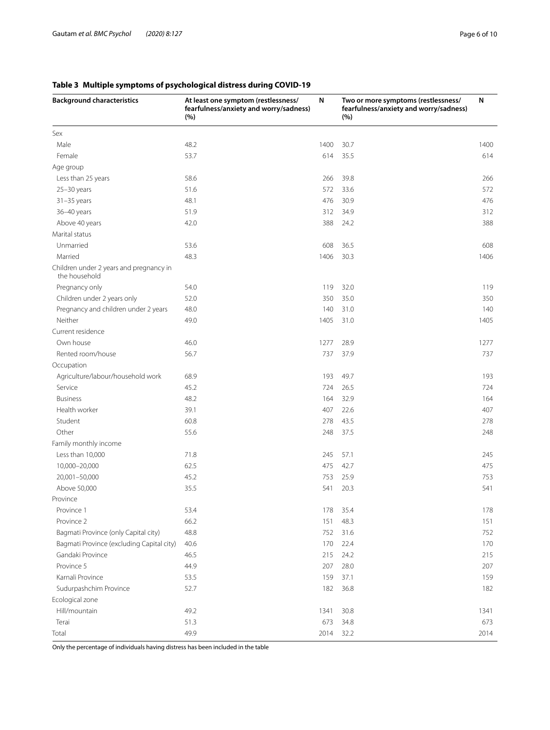## **Background characteristics At least one symptom (restlessness/ fearfulness/anxiety and worry/sadness) (%) N Two or more symptoms (restlessness/ fearfulness/anxiety and worry/sadness) (%) N** Sex Male 19 1400 30.7 1400 30.7 1400 30.7 1400 30.7 1400 30.7 1400 30.7 1400 30.7 1400 30.7 1400 30.7 1400 30.7 1400 30.7 1400 30.7 1400 30.7 1400 30.7 1400 30.7 1400 30.7 1400 30.7 1400 30.7 1400 30.7 1400 30.7 1400 30.7 150 Female 53.7 614 35.5 614 Age group Less than 25 years 58.6 266 39.8 266 25–30 years 672 to the state of the state of the state of the state of the state of the state of the state of the state of the state of the state of the state of the state of the state of the state of the state of the stat 31–35 years 1988 and 1988 and 1989 and 1989 and 1989 and 1989 and 1989 and 1989 and 1989 and 1989 and 1989 and 19 36–40 years 30 30 312 34.9 312 34.9 312 34.9 312 34.9 312 34.9 312 34.9 312 34.9 312 34.9 312 34.9 312 34.9 312 34.9 312 34.9  $\frac{31}{2}$ Above 40 years 42.0 388 24.2 388 Marital status Unmarried 53.6 608 36.5 608 Married 48.3 1406 30.3 1406 Children under 2 years and pregnancy in the household Pregnancy only 119 32.0 119 32.0 119 32.0 119 32.0 119 32.0 119 32.0 119 32.0 119 32.0 119 32.0 119 32.0 119 32.0 119 32.0 119 32.0 119 32.0 119 32.0 119 32.0 119 32.0 119 32.0 119 32.0 119 32.0 119 32.0 119 32.0 119 32.0 Children under 2 years only 52.0 350 35.0 350 Pregnancy and children under 2 years 48.0 140 31.0 140 31.0 140 31.0 Neither 49.0 1405 31.0 1405 Current residence Own house 1277 28.9 1277 28.9 1277 28.9 1277 28.9 1277 28.9 1277 28.9 1277 28.9 1277 28.9 1277 28.9 1277 28.9 1277 28.9 1277 28.9 1277 28.9 1277 28.9 1277 28.9 1277 28.9 1277 28.9 1277 28.9 1277 28.9 1277 28.9 1277 28.9 12 Rented room/house 56.7 737 37.9 737 Occupation Agriculture/labour/household work and the set of the set of the set of the set of the set of the set of the set of the set of the set of the set of the set of the set of the set of the set of the set of the set of the set Service 2008 1224 26.5 724 26.5 724 26.5 724 26.5 724 26.5 724 26.5 724 26.5 724 26.5 724 26.5 724 26.5 724 26.5 724 Business 48.2 164 32.9 164 Health worker 39.1 407 22.6 407 Student 60.8 278 43.5 278 Other 55.6 248 37.5 248 Family monthly income Less than 10,000 71.8 245 57.1 245 10,000–20,000 62.5 475 42.7 475 20,001–50,000 45.2 753 25.9 753 Above 50,000 35.5 541 20.3 541 Province Province 1 53.4 178 35.4 178 Province 2 151 48.3 151 48.3 151 48.3 151 48.3 151 48.3 151 48.3 151 48.3 151 48.3 151 48.3 151 48.3 151 48.3 151 48.3 151 48.3 151 48.3 151 48.3 151 48.3 151 48.3 151 48.3 151 48.3 151 48.3 151 48.3 151 48.3 151 48.3 151 Bagmati Province (only Capital city) 48.8 752 31.6 752 31.6 Bagmati Province (excluding Capital city) 40.6 170 22.4 170 Gandaki Province 215 24.2 215 24.2 215 24.2 215 24.2 215 24.2 215 24.2 215 24.2 215 24.2 215 24.2 215 24.2 215 Province 5 207 200 207 28.0 207 28.0 207 28.0 207 28.0 207 28.0 207 208 207 207 207 207 207 207 207 207 207 20 Karnali Province 53.5 159 37.1 159 Sudurpashchim Province 52.7 182 36.8 182 Ecological zone Hill/mountain 1341 49.2 1341 30.8 1341 49.2 1341 49.2 1341 50.8 1341 50.8 1341 50.8 1341 50.8 1341 50.8 1341 50.8 1341 50.8 1341 50.8 1341 50.8 1341 50.8 1341 50.8 1341 50.8 1341 50.8 1341 50.8 1341 50.8 1341 50.8 1341 50. Terai 51.3 673 34.8 673 674 673 674 673 51.3 673 72 673 734.8 673 734.8 673 734.8 673 734.8 673 735 735 736 73 Total 49.9 2014 32.2 2014

# <span id="page-5-0"></span>**Table 3 Multiple symptoms of psychological distress during COVID-19**

Only the percentage of individuals having distress has been included in the table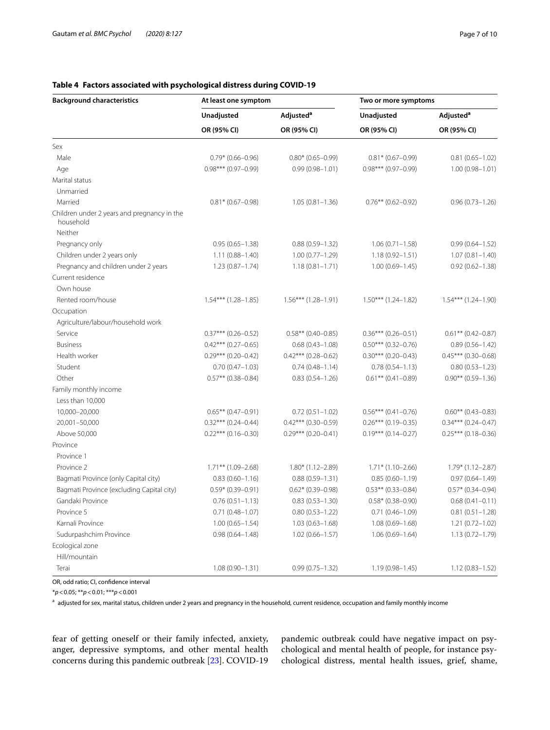### <span id="page-6-0"></span>**Table 4 Factors associated with psychological distress during COVID-19**

| <b>Background characteristics</b>                        | At least one symptom    |                       | Two or more symptoms    |                             |
|----------------------------------------------------------|-------------------------|-----------------------|-------------------------|-----------------------------|
|                                                          | Unadjusted              | Adjusted <sup>a</sup> | Unadjusted              | <b>Adjusted<sup>a</sup></b> |
|                                                          | OR (95% CI)             | OR (95% CI)           | OR (95% CI)             | OR (95% CI)                 |
| Sex                                                      |                         |                       |                         |                             |
| Male                                                     | $0.79*$ (0.66-0.96)     | $0.80*$ (0.65-0.99)   | $0.81*$ (0.67-0.99)     | $0.81(0.65 - 1.02)$         |
| Age                                                      | $0.98***$ (0.97-0.99)   | $0.99(0.98 - 1.01)$   | $0.98***$ (0.97-0.99)   | $1.00(0.98 - 1.01)$         |
| Marital status                                           |                         |                       |                         |                             |
| Unmarried                                                |                         |                       |                         |                             |
| Married                                                  | $0.81*$ (0.67-0.98)     | $1.05(0.81 - 1.36)$   | $0.76**$ (0.62-0.92)    | $0.96(0.73 - 1.26)$         |
| Children under 2 years and pregnancy in the<br>household |                         |                       |                         |                             |
| Neither                                                  |                         |                       |                         |                             |
| Pregnancy only                                           | $0.95(0.65 - 1.38)$     | $0.88(0.59 - 1.32)$   | $1.06(0.71 - 1.58)$     | $0.99(0.64 - 1.52)$         |
| Children under 2 years only                              | $1.11(0.88 - 1.40)$     | $1.00(0.77 - 1.29)$   | $1.18(0.92 - 1.51)$     | $1.07(0.81 - 1.40)$         |
| Pregnancy and children under 2 years                     | $1.23(0.87 - 1.74)$     | $1.18(0.81 - 1.71)$   | $1.00(0.69 - 1.45)$     | $0.92(0.62 - 1.38)$         |
| Current residence                                        |                         |                       |                         |                             |
| Own house                                                |                         |                       |                         |                             |
| Rented room/house                                        | $1.54***$ $(1.28-1.85)$ | $1.56***(1.28-1.91)$  | $1.50***(1.24-1.82)$    | $1.54***(1.24-1.90)$        |
| Occupation                                               |                         |                       |                         |                             |
| Agriculture/labour/household work                        |                         |                       |                         |                             |
| Service                                                  | $0.37***$ (0.26-0.52)   | $0.58**$ (0.40-0.85)  | $0.36***$ $(0.26-0.51)$ | $0.61***$ (0.42-0.87)       |
| <b>Business</b>                                          | $0.42***$ (0.27-0.65)   | $0.68(0.43 - 1.08)$   | $0.50***$ $(0.32-0.76)$ | $0.89(0.56 - 1.42)$         |
| Health worker                                            | $0.29***$ (0.20-0.42)   | $0.42***$ (0.28-0.62) | $0.30***$ (0.20-0.43)   | $0.45***$ (0.30-0.68)       |
| Student                                                  | $0.70(0.47 - 1.03)$     | $0.74(0.48 - 1.14)$   | $0.78(0.54 - 1.13)$     | $0.80(0.53 - 1.23)$         |
| Other                                                    | $0.57**$ (0.38-0.84)    | $0.83(0.54 - 1.26)$   | $0.61***$ (0.41-0.89)   | $0.90**$ (0.59-1.36)        |
| Family monthly income                                    |                         |                       |                         |                             |
| Less than 10,000                                         |                         |                       |                         |                             |
| 10,000-20,000                                            | $0.65***$ (0.47-0.91)   | $0.72(0.51 - 1.02)$   | $0.56***(0.41-0.76)$    | $0.60**$ (0.43-0.83)        |
| 20,001-50,000                                            | $0.32***$ (0.24-0.44)   | $0.42***$ (0.30-0.59) | $0.26***$ (0.19-0.35)   | $0.34***$ (0.24-0.47)       |
| Above 50,000                                             | $0.22***$ (0.16-0.30)   | $0.29***$ (0.20-0.41) | $0.19***$ (0.14-0.27)   | $0.25***$ (0.18-0.36)       |
| Province                                                 |                         |                       |                         |                             |
| Province 1                                               |                         |                       |                         |                             |
| Province 2                                               | $1.71***$ (1.09-2.68)   | $1.80*$ (1.12-2.89)   | $1.71*$ (1.10-2.66)     | $1.79*$ (1.12-2.87)         |
| Bagmati Province (only Capital city)                     | $0.83(0.60 - 1.16)$     | $0.88(0.59 - 1.31)$   | $0.85(0.60 - 1.19)$     | $0.97(0.64 - 1.49)$         |
| Bagmati Province (excluding Capital city)                | $0.59*$ (0.39-0.91)     | $0.62*$ (0.39-0.98)   | $0.53***$ (0.33-0.84)   | $0.57*$ (0.34-0.94)         |
| Gandaki Province                                         | $0.76(0.51 - 1.13)$     | $0.83(0.53 - 1.30)$   | $0.58*(0.38-0.90)$      | $0.68(0.41 - 0.11)$         |
| Province 5                                               | $0.71(0.48 - 1.07)$     | $0.80(0.53 - 1.22)$   | $0.71(0.46 - 1.09)$     | $0.81(0.51 - 1.28)$         |
| Karnali Province                                         | $1.00(0.65 - 1.54)$     | $1.03(0.63 - 1.68)$   | $1.08(0.69 - 1.68)$     | $1.21(0.72 - 1.02)$         |
| Sudurpashchim Province                                   | $0.98(0.64 - 1.48)$     | $1.02(0.66 - 1.57)$   | $1.06(0.69 - 1.64)$     | $1.13(0.72 - 1.79)$         |
| Ecological zone                                          |                         |                       |                         |                             |
| Hill/mountain                                            |                         |                       |                         |                             |
| Terai                                                    | $1.08(0.90 - 1.31)$     | $0.99(0.75 - 1.32)$   | $1.19(0.98 - 1.45)$     | $1.12(0.83 - 1.52)$         |

OR, odd ratio; CI, confdence interval

\**p*<0.05; \*\**p*<0.01; \*\*\**p*<0.001

<sup>a</sup> adjusted for sex, marital status, children under 2 years and pregnancy in the household, current residence, occupation and family monthly income

fear of getting oneself or their family infected, anxiety, anger, depressive symptoms, and other mental health concerns during this pandemic outbreak [[23](#page-9-20)]. COVID-19

pandemic outbreak could have negative impact on psychological and mental health of people, for instance psychological distress, mental health issues, grief, shame,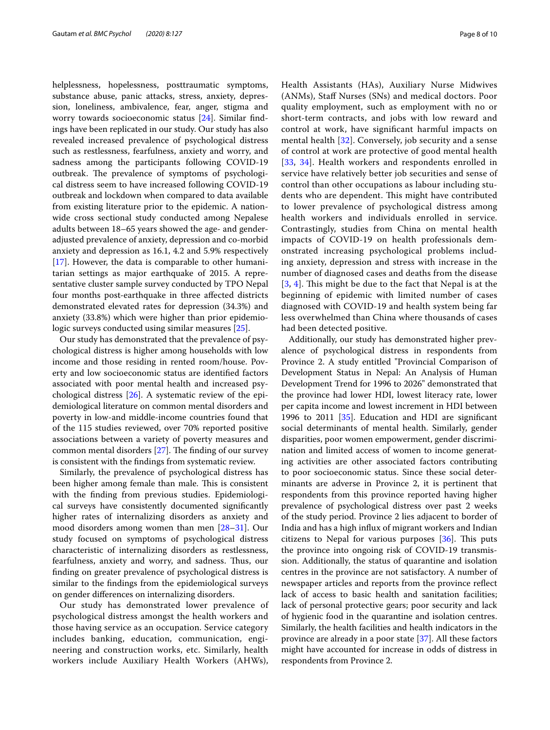helplessness, hopelessness, posttraumatic symptoms, substance abuse, panic attacks, stress, anxiety, depression, loneliness, ambivalence, fear, anger, stigma and worry towards socioeconomic status [\[24](#page-9-21)]. Similar fndings have been replicated in our study. Our study has also revealed increased prevalence of psychological distress such as restlessness, fearfulness, anxiety and worry, and sadness among the participants following COVID-19 outbreak. The prevalence of symptoms of psychological distress seem to have increased following COVID-19 outbreak and lockdown when compared to data available from existing literature prior to the epidemic. A nationwide cross sectional study conducted among Nepalese adults between 18–65 years showed the age- and genderadjusted prevalence of anxiety, depression and co-morbid anxiety and depression as 16.1, 4.2 and 5.9% respectively [[17\]](#page-9-15). However, the data is comparable to other humanitarian settings as major earthquake of 2015. A representative cluster sample survey conducted by TPO Nepal four months post-earthquake in three afected districts demonstrated elevated rates for depression (34.3%) and anxiety (33.8%) which were higher than prior epidemiologic surveys conducted using similar measures [[25\]](#page-9-22).

Our study has demonstrated that the prevalence of psychological distress is higher among households with low income and those residing in rented room/house. Poverty and low socioeconomic status are identifed factors associated with poor mental health and increased psychological distress [[26](#page-9-23)]. A systematic review of the epidemiological literature on common mental disorders and poverty in low-and middle-income countries found that of the 115 studies reviewed, over 70% reported positive associations between a variety of poverty measures and common mental disorders  $[27]$  $[27]$ . The finding of our survey is consistent with the fndings from systematic review.

Similarly, the prevalence of psychological distress has been higher among female than male. This is consistent with the fnding from previous studies. Epidemiological surveys have consistently documented signifcantly higher rates of internalizing disorders as anxiety and mood disorders among women than men [[28–](#page-9-25)[31\]](#page-9-26). Our study focused on symptoms of psychological distress characteristic of internalizing disorders as restlessness, fearfulness, anxiety and worry, and sadness. Thus, our fnding on greater prevalence of psychological distress is similar to the fndings from the epidemiological surveys on gender diferences on internalizing disorders.

Our study has demonstrated lower prevalence of psychological distress amongst the health workers and those having service as an occupation. Service category includes banking, education, communication, engineering and construction works, etc. Similarly, health workers include Auxiliary Health Workers (AHWs), Health Assistants (HAs), Auxiliary Nurse Midwives (ANMs), Staf Nurses (SNs) and medical doctors. Poor quality employment, such as employment with no or short-term contracts, and jobs with low reward and control at work, have signifcant harmful impacts on mental health [[32\]](#page-9-27). Conversely, job security and a sense of control at work are protective of good mental health [[33](#page-9-28), [34\]](#page-9-29). Health workers and respondents enrolled in service have relatively better job securities and sense of control than other occupations as labour including students who are dependent. This might have contributed to lower prevalence of psychological distress among health workers and individuals enrolled in service. Contrastingly, studies from China on mental health impacts of COVID-19 on health professionals demonstrated increasing psychological problems including anxiety, depression and stress with increase in the number of diagnosed cases and deaths from the disease  $[3, 4]$  $[3, 4]$  $[3, 4]$  $[3, 4]$  $[3, 4]$ . This might be due to the fact that Nepal is at the beginning of epidemic with limited number of cases diagnosed with COVID-19 and health system being far less overwhelmed than China where thousands of cases had been detected positive.

Additionally, our study has demonstrated higher prevalence of psychological distress in respondents from Province 2. A study entitled "Provincial Comparison of Development Status in Nepal: An Analysis of Human Development Trend for 1996 to 2026" demonstrated that the province had lower HDI, lowest literacy rate, lower per capita income and lowest increment in HDI between 1996 to 2011 [[35\]](#page-9-30). Education and HDI are signifcant social determinants of mental health. Similarly, gender disparities, poor women empowerment, gender discrimination and limited access of women to income generating activities are other associated factors contributing to poor socioeconomic status. Since these social determinants are adverse in Province 2, it is pertinent that respondents from this province reported having higher prevalence of psychological distress over past 2 weeks of the study period. Province 2 lies adjacent to border of India and has a high infux of migrant workers and Indian citizens to Nepal for various purposes  $[36]$  $[36]$ . This puts the province into ongoing risk of COVID-19 transmission. Additionally, the status of quarantine and isolation centres in the province are not satisfactory. A number of newspaper articles and reports from the province refect lack of access to basic health and sanitation facilities; lack of personal protective gears; poor security and lack of hygienic food in the quarantine and isolation centres. Similarly, the health facilities and health indicators in the province are already in a poor state [\[37](#page-9-32)]. All these factors might have accounted for increase in odds of distress in respondents from Province 2.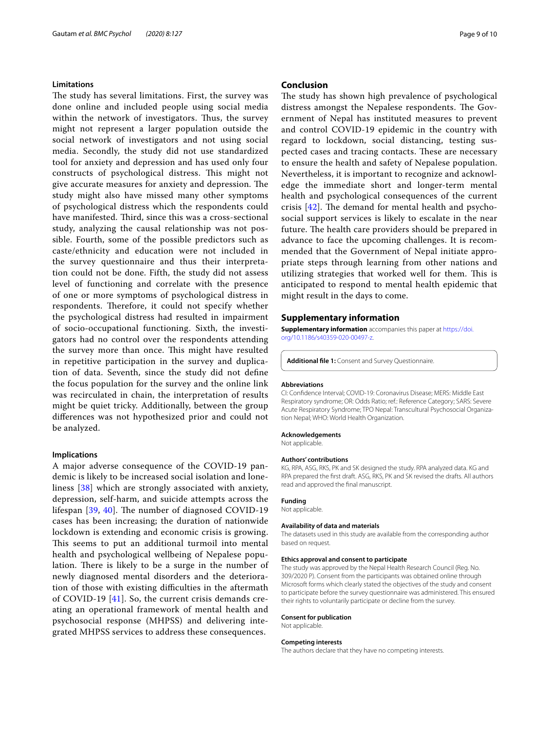#### **Limitations**

The study has several limitations. First, the survey was done online and included people using social media within the network of investigators. Thus, the survey might not represent a larger population outside the social network of investigators and not using social media. Secondly, the study did not use standardized tool for anxiety and depression and has used only four constructs of psychological distress. This might not give accurate measures for anxiety and depression. The study might also have missed many other symptoms of psychological distress which the respondents could have manifested. Third, since this was a cross-sectional study, analyzing the causal relationship was not possible. Fourth, some of the possible predictors such as caste/ethnicity and education were not included in the survey questionnaire and thus their interpretation could not be done. Fifth, the study did not assess level of functioning and correlate with the presence of one or more symptoms of psychological distress in respondents. Therefore, it could not specify whether the psychological distress had resulted in impairment of socio-occupational functioning. Sixth, the investigators had no control over the respondents attending the survey more than once. This might have resulted in repetitive participation in the survey and duplication of data. Seventh, since the study did not defne the focus population for the survey and the online link was recirculated in chain, the interpretation of results might be quiet tricky. Additionally, between the group diferences was not hypothesized prior and could not be analyzed.

#### **Implications**

A major adverse consequence of the COVID-19 pandemic is likely to be increased social isolation and loneliness [\[38](#page-9-33)] which are strongly associated with anxiety, depression, self-harm, and suicide attempts across the lifespan  $[39, 40]$  $[39, 40]$  $[39, 40]$  $[39, 40]$ . The number of diagnosed COVID-19 cases has been increasing; the duration of nationwide lockdown is extending and economic crisis is growing. This seems to put an additional turmoil into mental health and psychological wellbeing of Nepalese population. There is likely to be a surge in the number of newly diagnosed mental disorders and the deterioration of those with existing difficulties in the aftermath of COVID-19 [\[41](#page-9-36)]. So, the current crisis demands creating an operational framework of mental health and psychosocial response (MHPSS) and delivering integrated MHPSS services to address these consequences.

#### **Conclusion**

The study has shown high prevalence of psychological distress amongst the Nepalese respondents. The Government of Nepal has instituted measures to prevent and control COVID-19 epidemic in the country with regard to lockdown, social distancing, testing suspected cases and tracing contacts. These are necessary to ensure the health and safety of Nepalese population. Nevertheless, it is important to recognize and acknowledge the immediate short and longer-term mental health and psychological consequences of the current crisis  $[42]$ . The demand for mental health and psychosocial support services is likely to escalate in the near future. The health care providers should be prepared in advance to face the upcoming challenges. It is recommended that the Government of Nepal initiate appropriate steps through learning from other nations and utilizing strategies that worked well for them. This is anticipated to respond to mental health epidemic that might result in the days to come.

#### **Supplementary information**

**Supplementary information** accompanies this paper at [https://doi.](https://doi.org/10.1186/s40359-020-00497-z) [org/10.1186/s40359-020-00497-z.](https://doi.org/10.1186/s40359-020-00497-z)

<span id="page-8-0"></span>**Additional fle 1:** Consent and Survey Questionnaire.

#### **Abbreviations**

CI: Confdence Interval; COVID-19: Coronavirus Disease; MERS: Middle East Respiratory syndrome; OR: Odds Ratio; ref.: Reference Category; SARS: Severe Acute Respiratory Syndrome; TPO Nepal: Transcultural Psychosocial Organization Nepal; WHO: World Health Organization.

#### **Acknowledgements**

Not applicable.

#### **Authors' contributions**

KG, RPA, ASG, RKS, PK and SK designed the study. RPA analyzed data. KG and RPA prepared the frst draft. ASG, RKS, PK and SK revised the drafts. All authors read and approved the fnal manuscript.

#### **Funding**

Not applicable.

#### **Availability of data and materials**

The datasets used in this study are available from the corresponding author based on request.

#### **Ethics approval and consent to participate**

The study was approved by the Nepal Health Research Council (Reg. No. 309/2020 P). Consent from the participants was obtained online through Microsoft forms which clearly stated the objectives of the study and consent to participate before the survey questionnaire was administered. This ensured their rights to voluntarily participate or decline from the survey.

#### **Consent for publication**

Not applicable.

#### **Competing interests**

The authors declare that they have no competing interests.